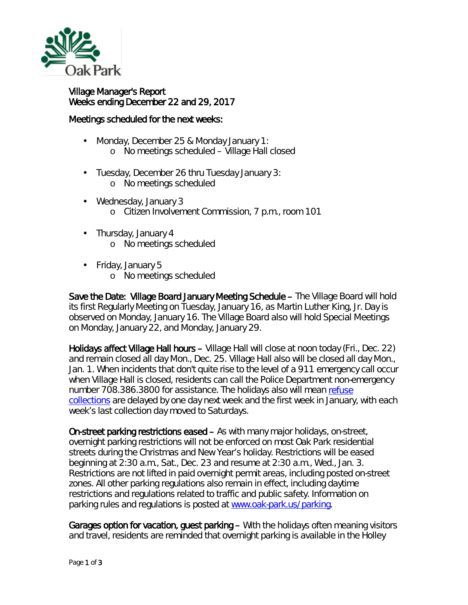

Village Manager's Report Weeks ending December 22 and 29, 2017

## Meetings scheduled for the next weeks:

- ä, Monday, December 25 & Monday January 1: o No meetings scheduled – Village Hall closed
- Tuesday, December 26 thru Tuesday January 3:
	- o No meetings scheduled
- Wednesday, January 3
	- o Citizen Involvement Commission, 7 p.m., room 101
- Thursday, January 4
	- o No meetings scheduled
- Friday, January 5
	- o No meetings scheduled

Save the Date: Village Board January Meeting Schedule – The Village Board will hold its first Regularly Meeting on Tuesday, January 16, as Martin Luther King, Jr. Day is observed on Monday, January 16. The Village Board also will hold Special Meetings on Monday, January 22, and Monday, January 29.

Holidays affect Village Hall hours – Village Hall will close at noon today (Fri., Dec. 22) and remain closed all day Mon., Dec. 25. Village Hall also will be closed all day Mon., Jan. 1. When incidents that don't quite rise to the level of a 911 emergency call occur when Village Hall is closed, residents can call the Police Department non-emergency number 708.386.3800 for assistance. The holidays also will mean refuse [collections](http://www.oak-park.us/village-services/refuse-recycling) are delayed by one day next week and the first week in January, with each week's last collection day moved to Saturdays.

On-street parking restrictions eased – As with many major holidays, on-street, overnight parking restrictions will not be enforced on most Oak Park residential streets during the Christmas and New Year's holiday. Restrictions will be eased beginning at 2:30 a.m., Sat., Dec. 23 and resume at 2:30 a.m., Wed., Jan. 3. Restrictions are not lifted in paid overnight permit areas, including posted on-street zones. All other parking regulations also remain in effect, including daytime restrictions and regulations related to traffic and public safety. Information on parking rules and regulations is posted at [www.oak-park.us/parking.](http://www.oak-park.us/parking)

Garages option for vacation, guest parking – With the holidays often meaning visitors and travel, residents are reminded that overnight parking is available in the Holley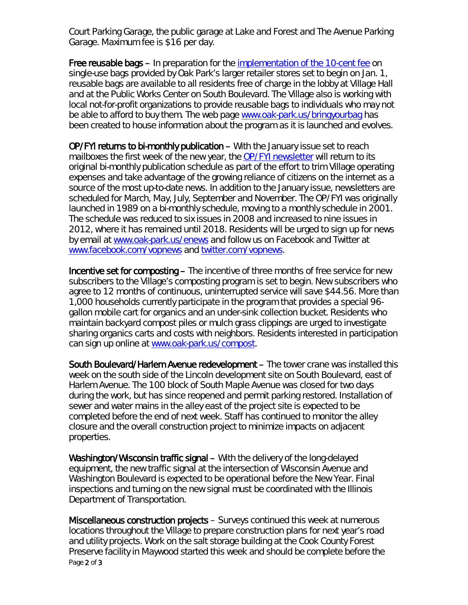Court Parking Garage, the public garage at Lake and Forest and The Avenue Parking Garage. Maximum fee is \$16 per day.

Free reusable bags – In preparation for the *implementation of the 10-cent fee on* single-use bags provided by Oak Park's larger retailer stores set to begin on Jan. 1, reusable bags are available to all residents free of charge in the lobby at Village Hall and at the Public Works Center on South Boulevard. The Village also is working with local not-for-profit organizations to provide reusable bags to individuals who may not be able to afford to buy them. The web page [www.oak-park.us/bringyourbag](http://www.oak-park.us/bringyourbag) has been created to house information about the program as it is launched and evolves.

OP/FYI returns to bi-monthly publication – With the January issue set to reach mailboxes the first week of the new year, the *OP/FYI* [newsletter](http://www.oak-park.us/newsletters) will return to its original bi-monthly publication schedule as part of the effort to trim Village operating expenses and take advantage of the growing reliance of citizens on the internet as a source of the most up-to-date news. In addition to the January issue, newsletters are scheduled for March, May, July, September and November. The *OP/FYI* was originally launched in 1989 on a bi-monthly schedule, moving to a monthly schedule in 2001. The schedule was reduced to six issues in 2008 and increased to nine issues in 2012, where it has remained until 2018. Residents will be urged to sign up for news by email at [www.oak-park.us/enews](http://www.oak-park.us/enews) and follow us on Facebook and Twitter at [www.facebook.com/vopnews](http://www.facebook.com/vopnews) and [twitter.com/vopnews.](https://twitter.com/vopnews)

Incentive set for composting – The incentive of three months of free service for new subscribers to the Village's composting program is set to begin. New subscribers who agree to 12 months of continuous, uninterrupted service will save \$44.56. More than 1,000 households currently participate in the program that provides a special 96 gallon mobile cart for organics and an under-sink collection bucket. Residents who maintain backyard compost piles or mulch grass clippings are urged to investigate sharing organics carts and costs with neighbors. Residents interested in participation can sign up online at [www.oak-park.us/compost.](http://www.oak-park.us/compost)

South Boulevard/Harlem Avenue redevelopment – The tower crane was installed this week on the south side of the Lincoln development site on South Boulevard, east of Harlem Avenue. The 100 block of South Maple Avenue was closed for two days during the work, but has since reopened and permit parking restored. Installation of sewer and water mains in the alley east of the project site is expected to be completed before the end of next week. Staff has continued to monitor the alley closure and the overall construction project to minimize impacts on adjacent properties.

Washington/Wisconsin traffic signal – With the delivery of the long-delayed equipment, the new traffic signal at the intersection of Wisconsin Avenue and Washington Boulevard is expected to be operational before the New Year. Final inspections and turning on the new signal must be coordinated with the Illinois Department of Transportation.

Page 2 of 3 Miscellaneous construction projects – Surveys continued this week at numerous locations throughout the Village to prepare construction plans for next year's road and utility projects. Work on the salt storage building at the Cook County Forest Preserve facility in Maywood started this week and should be complete before the